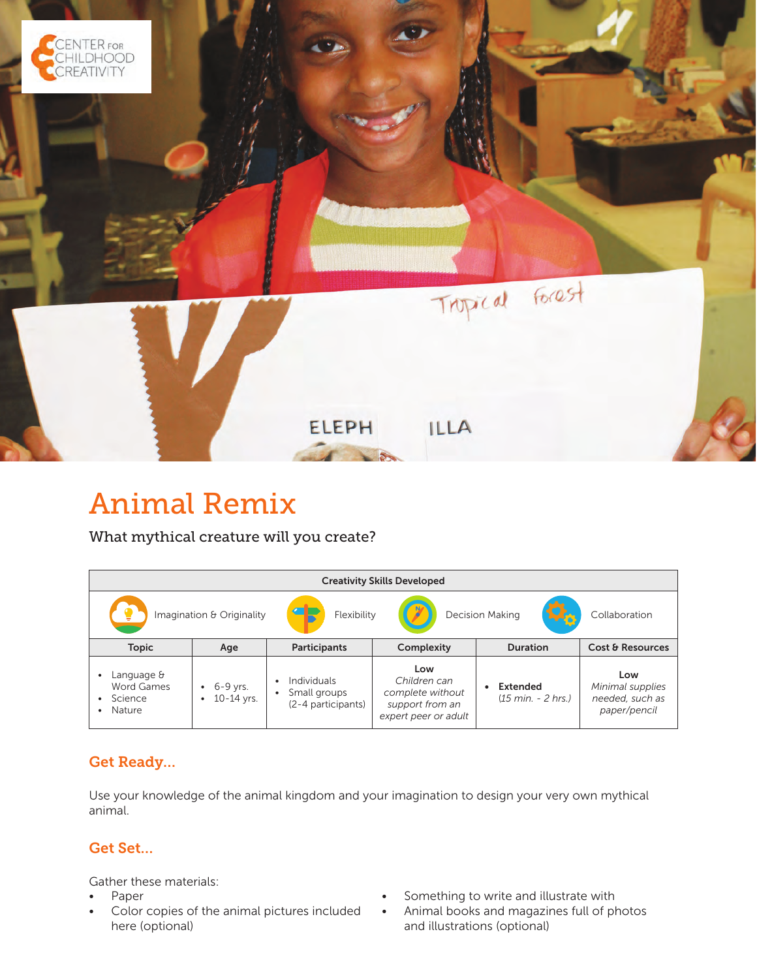

# Animal Remix

What mythical creature will you create?

| <b>Creativity Skills Developed</b>                      |                             |                                                   |                                                                                    |                                                         |                                                            |  |
|---------------------------------------------------------|-----------------------------|---------------------------------------------------|------------------------------------------------------------------------------------|---------------------------------------------------------|------------------------------------------------------------|--|
|                                                         | Imagination & Originality   | $\sqrt{1-\frac{1}{2}}$<br>Flexibility             |                                                                                    | <b>Decision Making</b>                                  | Collaboration                                              |  |
| <b>Topic</b>                                            | Age                         | Participants                                      | Complexity                                                                         | <b>Duration</b>                                         | Cost & Resources                                           |  |
| Language &<br>Word Games<br>Science<br>٠<br>Nature<br>٠ | $-6 - 9$ yrs.<br>10-14 yrs. | Individuals<br>Small groups<br>(2-4 participants) | Low<br>Children can<br>complete without<br>support from an<br>expert peer or adult | <b>Extended</b><br>$(15 \text{ min.} - 2 \text{ hrs.})$ | Low<br>Minimal supplies<br>needed, such as<br>paper/pencil |  |

# Get Ready…

Use your knowledge of the animal kingdom and your imagination to design your very own mythical animal.

#### Get Set…

Gather these materials:

- Paper
- Color copies of the animal pictures included here (optional)
- Something to write and illustrate with
- Animal books and magazines full of photos and illustrations (optional)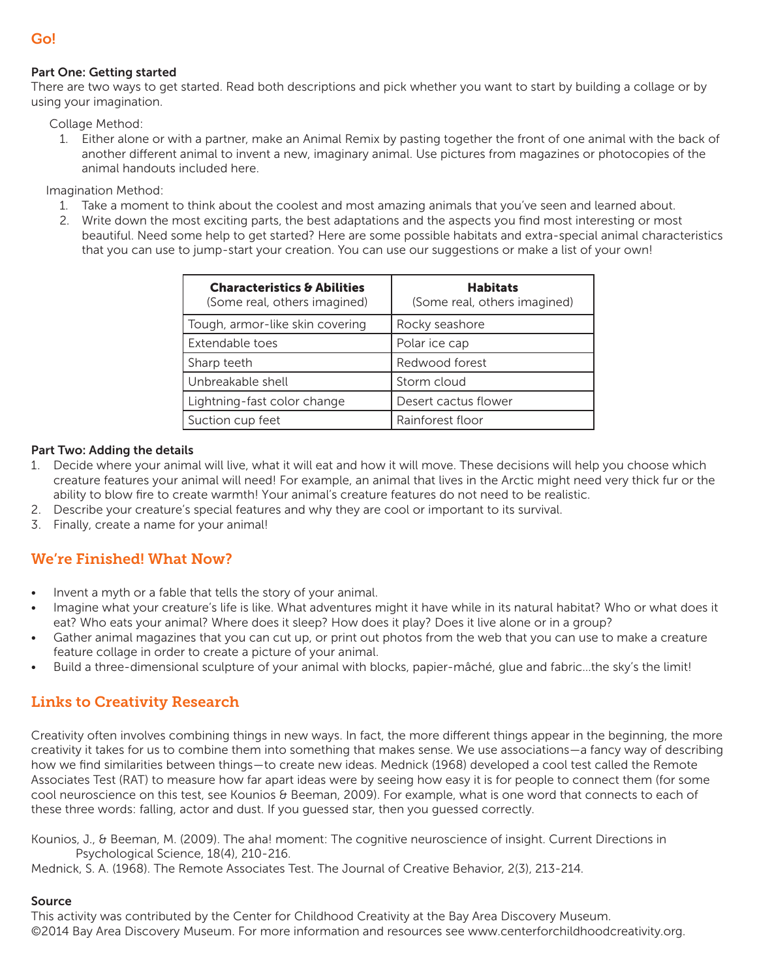#### Part One: Getting started

There are two ways to get started. Read both descriptions and pick whether you want to start by building a collage or by using your imagination.

Collage Method:

1. Either alone or with a partner, make an Animal Remix by pasting together the front of one animal with the back of another different animal to invent a new, imaginary animal. Use pictures from magazines or photocopies of the animal handouts included here.

Imagination Method:

- 1. Take a moment to think about the coolest and most amazing animals that you've seen and learned about.
- 2. Write down the most exciting parts, the best adaptations and the aspects you find most interesting or most beautiful. Need some help to get started? Here are some possible habitats and extra-special animal characteristics that you can use to jump-start your creation. You can use our suggestions or make a list of your own!

| <b>Characteristics &amp; Abilities</b><br>(Some real, others imagined) | <b>Habitats</b><br>(Some real, others imagined) |  |
|------------------------------------------------------------------------|-------------------------------------------------|--|
| Tough, armor-like skin covering                                        | Rocky seashore                                  |  |
| Extendable toes                                                        | Polar ice cap                                   |  |
| Sharp teeth                                                            | Redwood forest                                  |  |
| Unbreakable shell                                                      | Storm cloud                                     |  |
| Lightning-fast color change                                            | Desert cactus flower                            |  |
| Suction cup feet                                                       | Rainforest floor                                |  |

#### Part Two: Adding the details

- 1. Decide where your animal will live, what it will eat and how it will move. These decisions will help you choose which creature features your animal will need! For example, an animal that lives in the Arctic might need very thick fur or the ability to blow fire to create warmth! Your animal's creature features do not need to be realistic.
- 2. Describe your creature's special features and why they are cool or important to its survival.
- 3. Finally, create a name for your animal!

## We're Finished! What Now?

- Invent a myth or a fable that tells the story of your animal.
- Imagine what your creature's life is like. What adventures might it have while in its natural habitat? Who or what does it eat? Who eats your animal? Where does it sleep? How does it play? Does it live alone or in a group?
- Gather animal magazines that you can cut up, or print out photos from the web that you can use to make a creature feature collage in order to create a picture of your animal.
- Build a three-dimensional sculpture of your animal with blocks, papier-mâché, glue and fabric…the sky's the limit!

## Links to Creativity Research

Creativity often involves combining things in new ways. In fact, the more different things appear in the beginning, the more creativity it takes for us to combine them into something that makes sense. We use associations—a fancy way of describing how we find similarities between things—to create new ideas. Mednick (1968) developed a cool test called the Remote Associates Test (RAT) to measure how far apart ideas were by seeing how easy it is for people to connect them (for some cool neuroscience on this test, see Kounios & Beeman, 2009). For example, what is one word that connects to each of these three words: falling, actor and dust. If you guessed star, then you guessed correctly.

Kounios, J., & Beeman, M. (2009). The aha! moment: The cognitive neuroscience of insight. Current Directions in Psychological Science, 18(4), 210-216.

Mednick, S. A. (1968). The Remote Associates Test. The Journal of Creative Behavior, 2(3), 213-214.

#### Source

This activity was contributed by the Center for Childhood Creativity at the Bay Area Discovery Museum. ©2014 Bay Area Discovery Museum. For more information and resources see www.centerforchildhoodcreativity.org.

#### Go!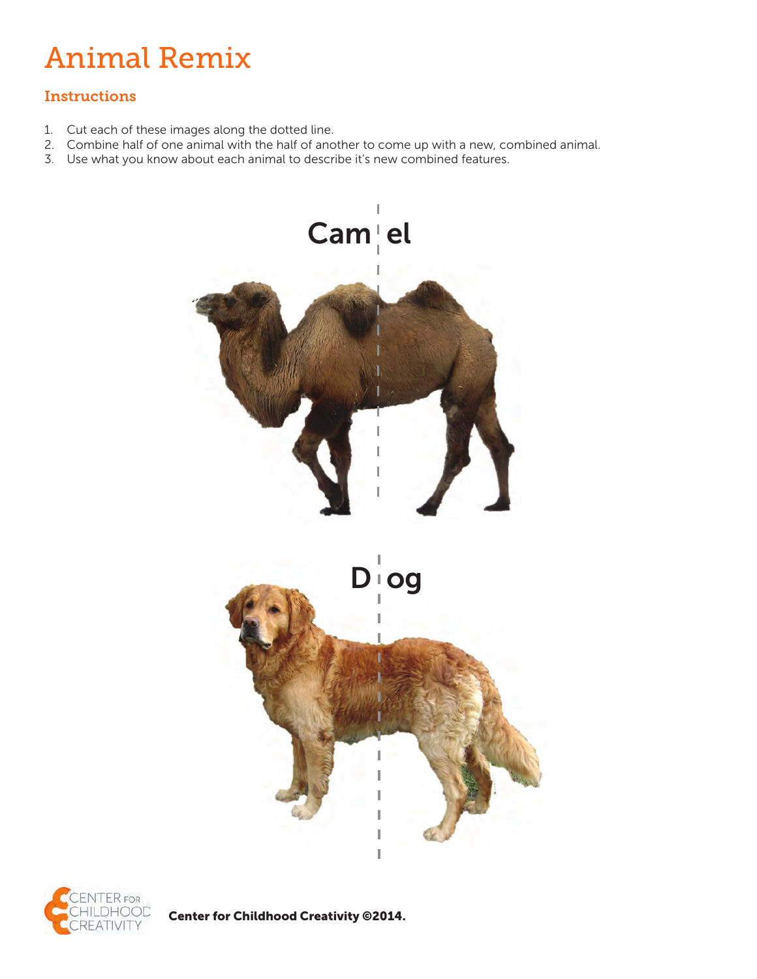# Animal Remix

## **Instructions**

- 1. Cut each of these images along the dotted line.
- 2. Combine half of one animal with the half of another to come up with a new, combined animal.
- 3. Use what you know about each animal to describe it's new combined features.





Center for Childhood Creativity ©2014.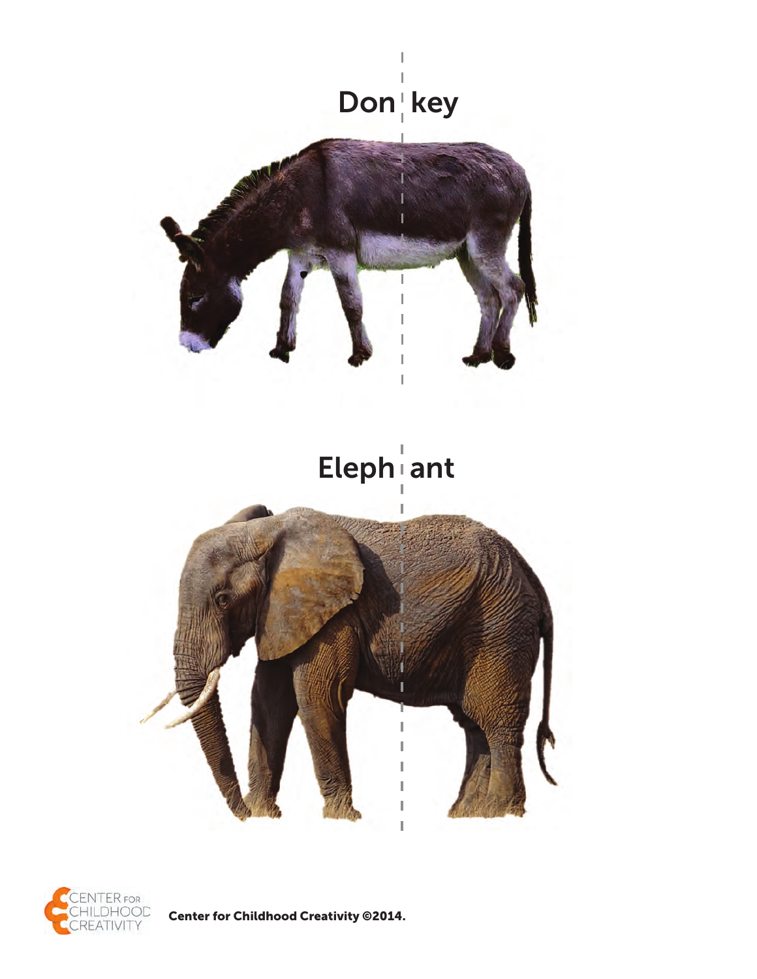



**Center for Childhood Creativity @2014.**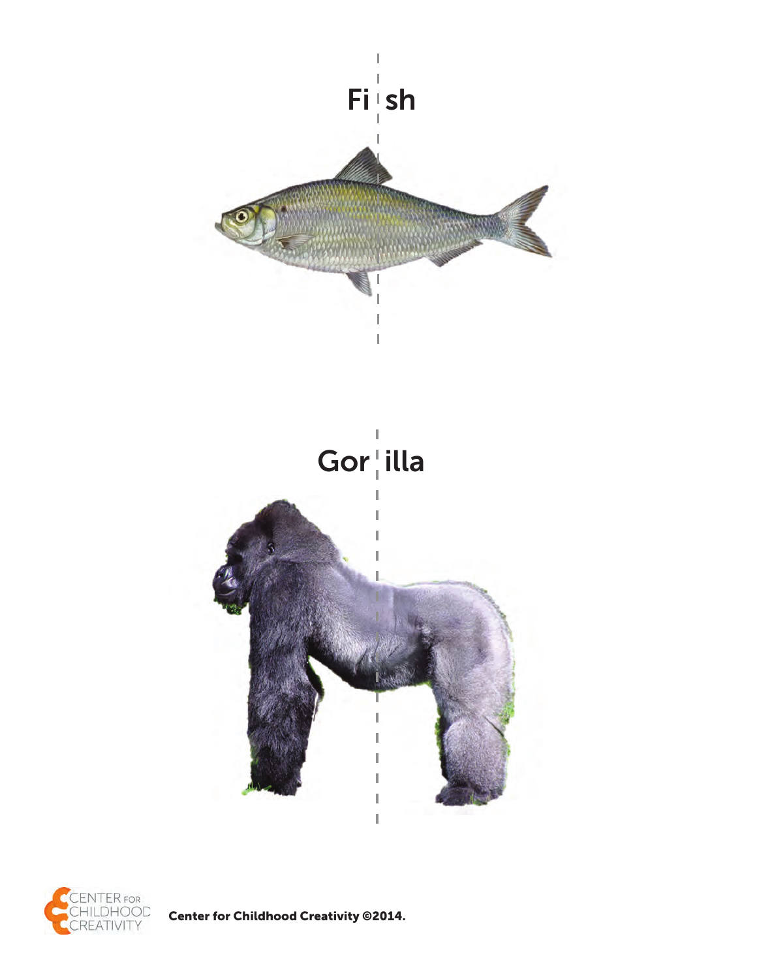



**Center for Childhood Creativity @2014.**